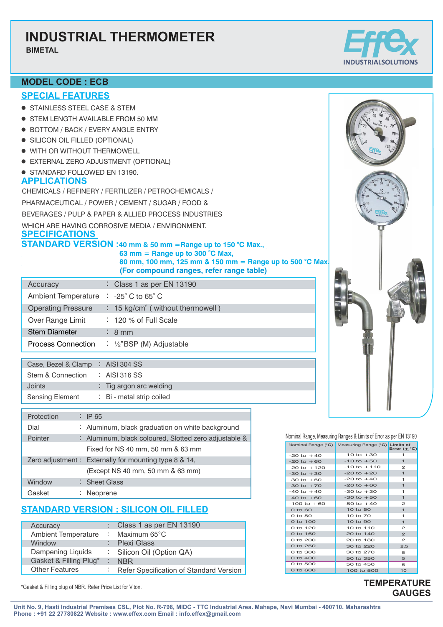# **INDUSTRIAL THERMOMETER**

### **BIMETAL**



### **MODEL CODE : ECB**

### **SPECIAL FEATURES**

- **STAINLESS STEEL CASE & STEM**
- **STEM LENGTH AVAILABLE FROM 50 MM**
- BOTTOM / BACK / EVERY ANGLE ENTRY
- **.** SILICON OIL FILLED (OPTIONAL)
- **.** WITH OR WITHOUT THERMOWELL
- **EXTERNAL ZERO ADJUSTMENT (OPTIONAL)**
- **STANDARD FOLLOWED EN 13190.**

#### **APPLICATIONS**

CHEMICALS / REFINERY / FERTILIZER / PETROCHEMICALS / PHARMACEUTICAL / POWER / CEMENT / SUGAR / FOOD & BEVERAGES /PULP & PAPER & ALLIED PROCESS INDUSTRIES

WHICH ARE HAVING CORROSIVE MEDIA / ENVIRONMENT.

# **SPECIFICATIONS**

#### STANDARD VERSION: 40 mm & 50 mm = Range up to 150 °C Max., **63 mm = Range up to 300 °C Max,**

**80 mm, 100 mm, 125 mm & 150 mm = Range up to 500 °C Max. (For compound ranges, refer range table)**

| Accuracy                          | : Class 1 as per EN 13190                        |
|-----------------------------------|--------------------------------------------------|
| Ambient Temperature               | $\therefore$ -25 $^{\circ}$ C to 65 $^{\circ}$ C |
| <b>Operating Pressure</b>         | : $15 \text{ kg/cm}^2$ (without thermowell)      |
| Over Range Limit                  | : 120 % of Full Scale                            |
| <b>Stem Diameter</b>              | $\frac{1}{2}$ 8 mm                               |
|                                   | Process Connection : 1/2"BSP (M) Adjustable      |
|                                   |                                                  |
| Case, Bezel & Clamp : AISI 304 SS |                                                  |

| Stem & Connection      | $\therefore$ AISI 316 SS           |
|------------------------|------------------------------------|
| Joints                 | $\therefore$ Tig argon arc welding |
| <b>Sensing Element</b> | : Bi - metal strip coiled          |

| Protection | $\therefore$ IP 65                                     |
|------------|--------------------------------------------------------|
| Dial       | : Aluminum, black graduation on white background       |
| Pointer    | : Aluminum, black coloured, Slotted zero adjustable &  |
|            | Fixed for NS 40 mm, 50 mm & 63 mm                      |
|            | Zero adjustment : Externally for mounting type 8 & 14, |
|            | (Except NS 40 mm, 50 mm & 63 mm)                       |
| Window     | : Sheet Glass                                          |
| Gasket     | Neoprene                                               |

# **STANDARD VERSION : SILICON OIL FILLED**

| Accuracy                   |   | $\therefore$ Class 1 as per EN 13190    |
|----------------------------|---|-----------------------------------------|
| <b>Ambient Temperature</b> |   | : Maximum $65^{\circ}$ C                |
| Window                     |   | <b>Plexi Glass</b>                      |
| Dampening Liquids          |   | : Silicon Oil (Option QA)               |
| Gasket & Filling Plug*     |   | <b>NBR</b>                              |
| <b>Other Features</b>      | ٠ | Refer Specification of Standard Version |
|                            |   |                                         |

\*Gasket & Filling plug of NBR. Refer Price List for Viton.



Nominal Range, Measuring Ranges & Limits of Error as per EN 13190

|                 | Nominal Range (°C)   Measuring Range (°C)   Limits of | Error $(\pm$ °C) |
|-----------------|-------------------------------------------------------|------------------|
| $-20$ to $+40$  | $-10$ to $+30$                                        | 1                |
| $-20$ to $+60$  | $-10$ to $+50$                                        | $\mathbf{1}$     |
| $-20$ to $+120$ | $-10$ to $+110$                                       | $\mathfrak{p}$   |
| $-30$ to $+30$  | $-20$ to $+20$                                        | $\mathbf{1}$     |
| $-30$ to $+50$  | $-20$ to $+40$                                        | 1                |
| $-30$ to $+70$  | $-20$ to $+60$                                        | $\mathbf{1}$     |
| $-40$ to $+40$  | $-30$ to $+30$                                        | 1                |
| $-40$ to $+60$  | $-30$ to $+50$                                        | $\mathbf{1}$     |
| $-100$ to $+60$ | $-80$ to $+40$                                        | $\mathfrak{p}$   |
| $0$ to $60$     | 10 to 50                                              | $\mathbf{1}$     |
| 0 to 80         | 10 to 70                                              | 1                |
| 0 to 100        | 10 to 90                                              | $\mathbf{1}$     |
| 0 to 120        | 10 to 110                                             | $\mathfrak{p}$   |
| 0 to 160        | 20 to 140                                             | $\mathbf{P}$     |
| 0 to 200        | 20 to 180                                             | $\mathbf{z}$     |
| 0 to 250        | 30 to 220                                             | 2.5              |
| 0 to 300        | 30 to 270                                             | 5                |
| 0 to 400        | 50 to 350                                             | 5                |
| 0 to 500        | 50 to 450                                             | 5                |
| 0 to 600        | 100 to 500                                            | 10               |

**TEMPERATURE GAUGES**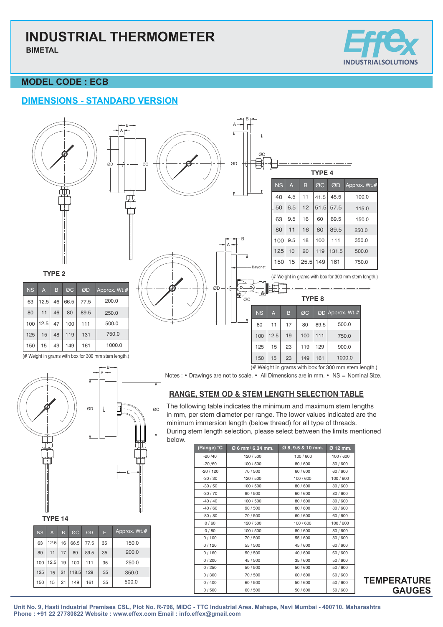# **INDUSTRIAL THERMOMETER**

ØD ØC

E

Approx. Wt.# 150.0 200.0 250.0 350.0 500.0

**TYPE 14**

100

 $80$ 63

150 125

NS A B ØC ØD

15 21 149 161

35

35

35

35

35

15 21 118.5 129

12.5 19 100 111

 $|12.5|$  16 66.5 77.5

 $11$   $17$   $80$   $895$ 

**BIMETAL**



## **MODEL CODE : ECB**

# **DIMENSIONS - STANDARD VERSION**





The following table indicates the minimum and maximum stem lengths in mm, per stem diameter per range. The lower values indicated are the minimum immersion length (below thread) for all type of threads. During stem length selection, please select between the limits mentioned below.

| (Range) °C | $Ø 6$ mm/ 6.34 mm. | Ø 8, 9.5 & 10 mm. | Ø 12 mm.  |
|------------|--------------------|-------------------|-----------|
| $-20/40$   | 120 / 500          | 100/600           | 100 / 600 |
| $-20/60$   | 100 / 500          | 80 / 600          | 80 / 600  |
| $-20/120$  | 70 / 500           | 60 / 600          | 60 / 600  |
| $-30/30$   | 120 / 500          | 100 / 600         | 100 / 600 |
| $-30/50$   | 100 / 500          | 80 / 600          | 80 / 600  |
| $-30/70$   | 90/500             | 60 / 600          | 80 / 600  |
| $-40/40$   | 100/500            | 80 / 600          | 80 / 600  |
| $-40/60$   | 90/500             | 80 / 600          | 80 / 600  |
| $-80/80$   | 70 / 500           | 60 / 600          | 60 / 600  |
| 0/60       | 120 / 500          | 100 / 600         | 100/600   |
| 0/80       | 100/500            | 80 / 600          | 80 / 600  |
| 0/100      | 70 / 500           | 55 / 600          | 80 / 600  |
| 0/120      | 55 / 500           | 45 / 600          | 60 / 600  |
| 0/160      | 50 / 500           | 40 / 600          | 60 / 600  |
| 0/200      | 45 / 500           | 35/600            | 50 / 600  |
| 0/250      | 50 / 500           | 50 / 600          | 50 / 600  |
| 0/300      | 70 / 500           | 60 / 600          | 60 / 600  |
| 0/400      | 60 / 500           | 50 / 600          | 50 / 600  |
| 0/500      | 60 / 500           | 50 / 600          | 50 / 600  |



**Unit No. 9, Hasti Industrial Premises CSL, Plot No. R-798, MIDC - TTC Industrial Area. Mahape, Navi Mumbai - 400710. Maharashtra Phone : +91 22 27780822 Website : www.effex.com Email : info.effex@gmail.com**